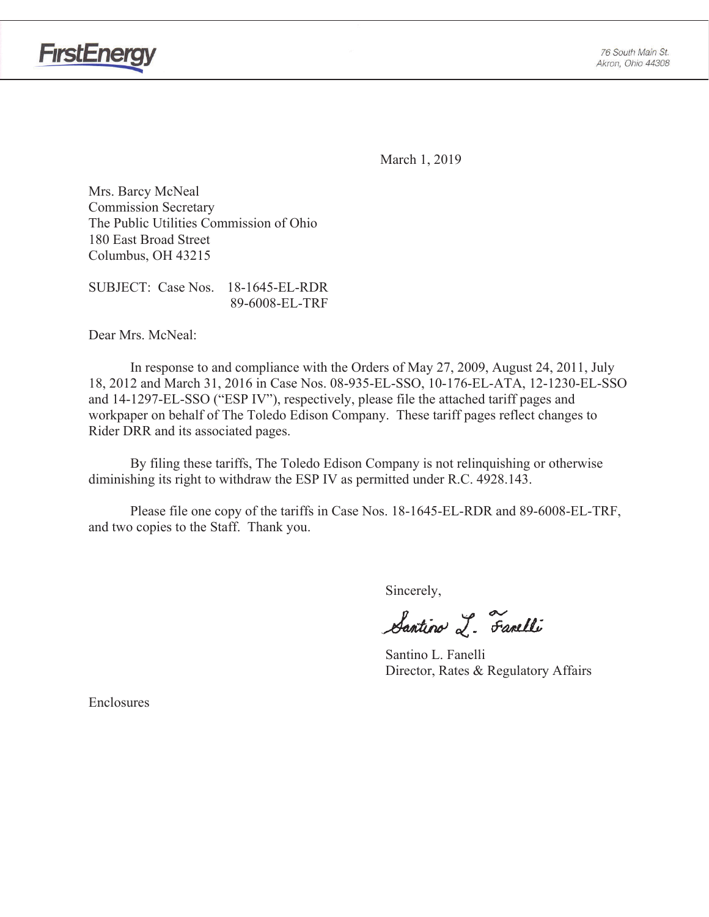



March 1, 2019

Mrs. Barcy McNeal **Commission Secretary** The Public Utilities Commission of Ohio 180 East Broad Street Columbus, OH 43215

SUBJECT: Case Nos. 18-1645-EL-RDR 89-6008-EL-TRF

Dear Mrs. McNeal:

In response to and compliance with the Orders of May 27, 2009, August 24, 2011, July 18, 2012 and March 31, 2016 in Case Nos. 08-935-EL-SSO, 10-176-EL-ATA, 12-1230-EL-SSO and 14-1297-EL-SSO ("ESP IV"), respectively, please file the attached tariff pages and workpaper on behalf of The Toledo Edison Company. These tariff pages reflect changes to Rider DRR and its associated pages.

By filing these tariffs, The Toledo Edison Company is not relinquishing or otherwise diminishing its right to withdraw the ESP IV as permitted under R.C. 4928.143.

Please file one copy of the tariffs in Case Nos. 18-1645-EL-RDR and 89-6008-EL-TRF, and two copies to the Staff. Thank you.

Sincerely,

Santino L. Farelli

Santino L. Fanelli Director, Rates & Regulatory Affairs

Enclosures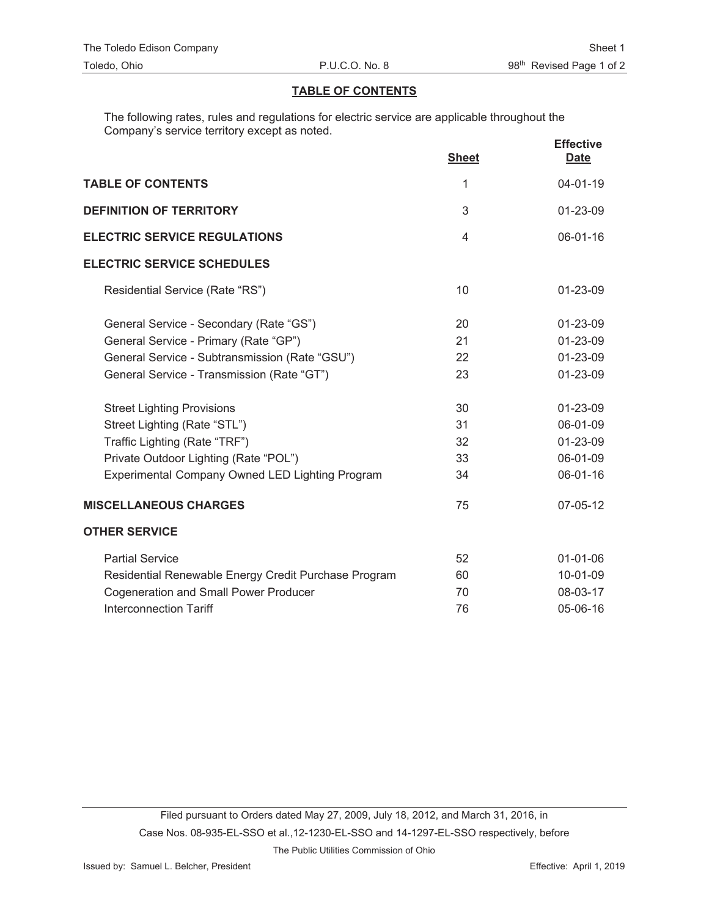# **TABLE OF CONTENTS**

The following rates, rules and regulations for electric service are applicable throughout the Company's service territory except as noted.

|                                                      | <b>Sheet</b>   | <b>Effective</b><br><b>Date</b> |
|------------------------------------------------------|----------------|---------------------------------|
| <b>TABLE OF CONTENTS</b>                             | 1              | $04 - 01 - 19$                  |
| <b>DEFINITION OF TERRITORY</b>                       | 3              | 01-23-09                        |
| <b>ELECTRIC SERVICE REGULATIONS</b>                  | $\overline{4}$ | 06-01-16                        |
| <b>ELECTRIC SERVICE SCHEDULES</b>                    |                |                                 |
| Residential Service (Rate "RS")                      | 10             | $01 - 23 - 09$                  |
| General Service - Secondary (Rate "GS")              | 20             | 01-23-09                        |
| General Service - Primary (Rate "GP")                | 21             | 01-23-09                        |
| General Service - Subtransmission (Rate "GSU")       | 22             | 01-23-09                        |
| General Service - Transmission (Rate "GT")           | 23             | 01-23-09                        |
| <b>Street Lighting Provisions</b>                    | 30             | 01-23-09                        |
| Street Lighting (Rate "STL")                         | 31             | 06-01-09                        |
| Traffic Lighting (Rate "TRF")                        | 32             | 01-23-09                        |
| Private Outdoor Lighting (Rate "POL")                | 33             | 06-01-09                        |
| Experimental Company Owned LED Lighting Program      | 34             | 06-01-16                        |
| <b>MISCELLANEOUS CHARGES</b>                         | 75             | 07-05-12                        |
| <b>OTHER SERVICE</b>                                 |                |                                 |
| <b>Partial Service</b>                               | 52             | $01 - 01 - 06$                  |
| Residential Renewable Energy Credit Purchase Program | 60             | 10-01-09                        |
| <b>Cogeneration and Small Power Producer</b>         | 70             | 08-03-17                        |
| <b>Interconnection Tariff</b>                        | 76             | 05-06-16                        |

The Public Utilities Commission of Ohio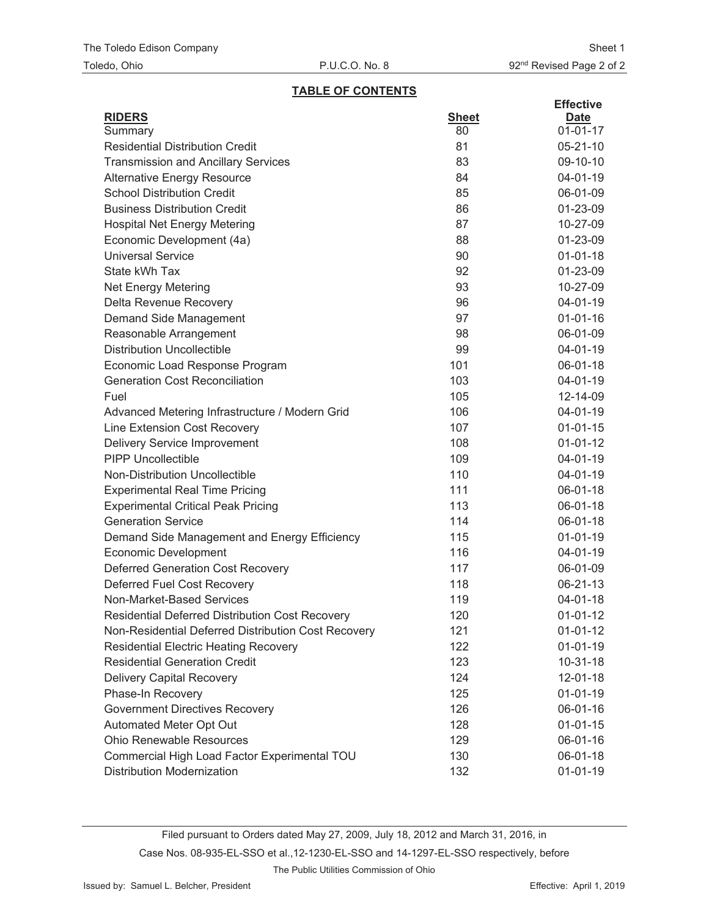## **TABLE OF CONTENTS**

| <b>RIDERS</b><br><b>Sheet</b><br><b>Date</b><br>$01 - 01 - 17$<br>80<br>Summary<br><b>Residential Distribution Credit</b><br>81<br>$05 - 21 - 10$<br><b>Transmission and Ancillary Services</b><br>83<br>09-10-10<br>84<br>04-01-19<br><b>Alternative Energy Resource</b><br><b>School Distribution Credit</b><br>85<br>06-01-09<br><b>Business Distribution Credit</b><br>86<br>01-23-09<br>87<br><b>Hospital Net Energy Metering</b><br>10-27-09<br>Economic Development (4a)<br>88<br>01-23-09<br><b>Universal Service</b><br>90<br>$01 - 01 - 18$<br>State kWh Tax<br>92<br>01-23-09<br>93<br>10-27-09<br>Net Energy Metering<br>Delta Revenue Recovery<br>96<br>04-01-19<br>97<br>$01 - 01 - 16$<br>Demand Side Management<br>98<br>06-01-09<br>Reasonable Arrangement<br><b>Distribution Uncollectible</b><br>99<br>04-01-19<br>101<br>Economic Load Response Program<br>06-01-18<br><b>Generation Cost Reconciliation</b><br>103<br>04-01-19<br>Fuel<br>105<br>12-14-09<br>Advanced Metering Infrastructure / Modern Grid<br>106<br>04-01-19<br>Line Extension Cost Recovery<br>107<br>$01 - 01 - 15$<br><b>Delivery Service Improvement</b><br>108<br>$01 - 01 - 12$<br><b>PIPP Uncollectible</b><br>109<br>04-01-19<br>Non-Distribution Uncollectible<br>110<br>04-01-19<br><b>Experimental Real Time Pricing</b><br>111<br>06-01-18<br><b>Experimental Critical Peak Pricing</b><br>113<br>06-01-18<br><b>Generation Service</b><br>114<br>06-01-18<br>115<br>$01 - 01 - 19$<br>Demand Side Management and Energy Efficiency<br><b>Economic Development</b><br>116<br>04-01-19<br><b>Deferred Generation Cost Recovery</b><br>117<br>06-01-09<br>Deferred Fuel Cost Recovery<br>118<br>06-21-13<br>Non-Market-Based Services<br>119<br>04-01-18<br>120<br>Residential Deferred Distribution Cost Recovery<br>$01 - 01 - 12$<br>Non-Residential Deferred Distribution Cost Recovery<br>121<br>$01 - 01 - 12$<br>122<br><b>Residential Electric Heating Recovery</b><br>$01 - 01 - 19$<br><b>Residential Generation Credit</b><br>123<br>$10 - 31 - 18$<br><b>Delivery Capital Recovery</b><br>124<br>12-01-18<br>Phase-In Recovery<br>125<br>$01 - 01 - 19$<br><b>Government Directives Recovery</b><br>126<br>06-01-16<br>Automated Meter Opt Out<br>128<br>$01 - 01 - 15$<br><b>Ohio Renewable Resources</b><br>129<br>06-01-16 |                                              |     | <b>Effective</b> |
|--------------------------------------------------------------------------------------------------------------------------------------------------------------------------------------------------------------------------------------------------------------------------------------------------------------------------------------------------------------------------------------------------------------------------------------------------------------------------------------------------------------------------------------------------------------------------------------------------------------------------------------------------------------------------------------------------------------------------------------------------------------------------------------------------------------------------------------------------------------------------------------------------------------------------------------------------------------------------------------------------------------------------------------------------------------------------------------------------------------------------------------------------------------------------------------------------------------------------------------------------------------------------------------------------------------------------------------------------------------------------------------------------------------------------------------------------------------------------------------------------------------------------------------------------------------------------------------------------------------------------------------------------------------------------------------------------------------------------------------------------------------------------------------------------------------------------------------------------------------------------------------------------------------------------------------------------------------------------------------------------------------------------------------------------------------------------------------------------------------------------------------------------------------------------------------------------------------------------------------------------------------------------------------------------------------------------------------------|----------------------------------------------|-----|------------------|
|                                                                                                                                                                                                                                                                                                                                                                                                                                                                                                                                                                                                                                                                                                                                                                                                                                                                                                                                                                                                                                                                                                                                                                                                                                                                                                                                                                                                                                                                                                                                                                                                                                                                                                                                                                                                                                                                                                                                                                                                                                                                                                                                                                                                                                                                                                                                            |                                              |     |                  |
|                                                                                                                                                                                                                                                                                                                                                                                                                                                                                                                                                                                                                                                                                                                                                                                                                                                                                                                                                                                                                                                                                                                                                                                                                                                                                                                                                                                                                                                                                                                                                                                                                                                                                                                                                                                                                                                                                                                                                                                                                                                                                                                                                                                                                                                                                                                                            |                                              |     |                  |
|                                                                                                                                                                                                                                                                                                                                                                                                                                                                                                                                                                                                                                                                                                                                                                                                                                                                                                                                                                                                                                                                                                                                                                                                                                                                                                                                                                                                                                                                                                                                                                                                                                                                                                                                                                                                                                                                                                                                                                                                                                                                                                                                                                                                                                                                                                                                            |                                              |     |                  |
|                                                                                                                                                                                                                                                                                                                                                                                                                                                                                                                                                                                                                                                                                                                                                                                                                                                                                                                                                                                                                                                                                                                                                                                                                                                                                                                                                                                                                                                                                                                                                                                                                                                                                                                                                                                                                                                                                                                                                                                                                                                                                                                                                                                                                                                                                                                                            |                                              |     |                  |
|                                                                                                                                                                                                                                                                                                                                                                                                                                                                                                                                                                                                                                                                                                                                                                                                                                                                                                                                                                                                                                                                                                                                                                                                                                                                                                                                                                                                                                                                                                                                                                                                                                                                                                                                                                                                                                                                                                                                                                                                                                                                                                                                                                                                                                                                                                                                            |                                              |     |                  |
|                                                                                                                                                                                                                                                                                                                                                                                                                                                                                                                                                                                                                                                                                                                                                                                                                                                                                                                                                                                                                                                                                                                                                                                                                                                                                                                                                                                                                                                                                                                                                                                                                                                                                                                                                                                                                                                                                                                                                                                                                                                                                                                                                                                                                                                                                                                                            |                                              |     |                  |
|                                                                                                                                                                                                                                                                                                                                                                                                                                                                                                                                                                                                                                                                                                                                                                                                                                                                                                                                                                                                                                                                                                                                                                                                                                                                                                                                                                                                                                                                                                                                                                                                                                                                                                                                                                                                                                                                                                                                                                                                                                                                                                                                                                                                                                                                                                                                            |                                              |     |                  |
|                                                                                                                                                                                                                                                                                                                                                                                                                                                                                                                                                                                                                                                                                                                                                                                                                                                                                                                                                                                                                                                                                                                                                                                                                                                                                                                                                                                                                                                                                                                                                                                                                                                                                                                                                                                                                                                                                                                                                                                                                                                                                                                                                                                                                                                                                                                                            |                                              |     |                  |
|                                                                                                                                                                                                                                                                                                                                                                                                                                                                                                                                                                                                                                                                                                                                                                                                                                                                                                                                                                                                                                                                                                                                                                                                                                                                                                                                                                                                                                                                                                                                                                                                                                                                                                                                                                                                                                                                                                                                                                                                                                                                                                                                                                                                                                                                                                                                            |                                              |     |                  |
|                                                                                                                                                                                                                                                                                                                                                                                                                                                                                                                                                                                                                                                                                                                                                                                                                                                                                                                                                                                                                                                                                                                                                                                                                                                                                                                                                                                                                                                                                                                                                                                                                                                                                                                                                                                                                                                                                                                                                                                                                                                                                                                                                                                                                                                                                                                                            |                                              |     |                  |
|                                                                                                                                                                                                                                                                                                                                                                                                                                                                                                                                                                                                                                                                                                                                                                                                                                                                                                                                                                                                                                                                                                                                                                                                                                                                                                                                                                                                                                                                                                                                                                                                                                                                                                                                                                                                                                                                                                                                                                                                                                                                                                                                                                                                                                                                                                                                            |                                              |     |                  |
|                                                                                                                                                                                                                                                                                                                                                                                                                                                                                                                                                                                                                                                                                                                                                                                                                                                                                                                                                                                                                                                                                                                                                                                                                                                                                                                                                                                                                                                                                                                                                                                                                                                                                                                                                                                                                                                                                                                                                                                                                                                                                                                                                                                                                                                                                                                                            |                                              |     |                  |
|                                                                                                                                                                                                                                                                                                                                                                                                                                                                                                                                                                                                                                                                                                                                                                                                                                                                                                                                                                                                                                                                                                                                                                                                                                                                                                                                                                                                                                                                                                                                                                                                                                                                                                                                                                                                                                                                                                                                                                                                                                                                                                                                                                                                                                                                                                                                            |                                              |     |                  |
|                                                                                                                                                                                                                                                                                                                                                                                                                                                                                                                                                                                                                                                                                                                                                                                                                                                                                                                                                                                                                                                                                                                                                                                                                                                                                                                                                                                                                                                                                                                                                                                                                                                                                                                                                                                                                                                                                                                                                                                                                                                                                                                                                                                                                                                                                                                                            |                                              |     |                  |
|                                                                                                                                                                                                                                                                                                                                                                                                                                                                                                                                                                                                                                                                                                                                                                                                                                                                                                                                                                                                                                                                                                                                                                                                                                                                                                                                                                                                                                                                                                                                                                                                                                                                                                                                                                                                                                                                                                                                                                                                                                                                                                                                                                                                                                                                                                                                            |                                              |     |                  |
|                                                                                                                                                                                                                                                                                                                                                                                                                                                                                                                                                                                                                                                                                                                                                                                                                                                                                                                                                                                                                                                                                                                                                                                                                                                                                                                                                                                                                                                                                                                                                                                                                                                                                                                                                                                                                                                                                                                                                                                                                                                                                                                                                                                                                                                                                                                                            |                                              |     |                  |
|                                                                                                                                                                                                                                                                                                                                                                                                                                                                                                                                                                                                                                                                                                                                                                                                                                                                                                                                                                                                                                                                                                                                                                                                                                                                                                                                                                                                                                                                                                                                                                                                                                                                                                                                                                                                                                                                                                                                                                                                                                                                                                                                                                                                                                                                                                                                            |                                              |     |                  |
|                                                                                                                                                                                                                                                                                                                                                                                                                                                                                                                                                                                                                                                                                                                                                                                                                                                                                                                                                                                                                                                                                                                                                                                                                                                                                                                                                                                                                                                                                                                                                                                                                                                                                                                                                                                                                                                                                                                                                                                                                                                                                                                                                                                                                                                                                                                                            |                                              |     |                  |
|                                                                                                                                                                                                                                                                                                                                                                                                                                                                                                                                                                                                                                                                                                                                                                                                                                                                                                                                                                                                                                                                                                                                                                                                                                                                                                                                                                                                                                                                                                                                                                                                                                                                                                                                                                                                                                                                                                                                                                                                                                                                                                                                                                                                                                                                                                                                            |                                              |     |                  |
|                                                                                                                                                                                                                                                                                                                                                                                                                                                                                                                                                                                                                                                                                                                                                                                                                                                                                                                                                                                                                                                                                                                                                                                                                                                                                                                                                                                                                                                                                                                                                                                                                                                                                                                                                                                                                                                                                                                                                                                                                                                                                                                                                                                                                                                                                                                                            |                                              |     |                  |
|                                                                                                                                                                                                                                                                                                                                                                                                                                                                                                                                                                                                                                                                                                                                                                                                                                                                                                                                                                                                                                                                                                                                                                                                                                                                                                                                                                                                                                                                                                                                                                                                                                                                                                                                                                                                                                                                                                                                                                                                                                                                                                                                                                                                                                                                                                                                            |                                              |     |                  |
|                                                                                                                                                                                                                                                                                                                                                                                                                                                                                                                                                                                                                                                                                                                                                                                                                                                                                                                                                                                                                                                                                                                                                                                                                                                                                                                                                                                                                                                                                                                                                                                                                                                                                                                                                                                                                                                                                                                                                                                                                                                                                                                                                                                                                                                                                                                                            |                                              |     |                  |
|                                                                                                                                                                                                                                                                                                                                                                                                                                                                                                                                                                                                                                                                                                                                                                                                                                                                                                                                                                                                                                                                                                                                                                                                                                                                                                                                                                                                                                                                                                                                                                                                                                                                                                                                                                                                                                                                                                                                                                                                                                                                                                                                                                                                                                                                                                                                            |                                              |     |                  |
|                                                                                                                                                                                                                                                                                                                                                                                                                                                                                                                                                                                                                                                                                                                                                                                                                                                                                                                                                                                                                                                                                                                                                                                                                                                                                                                                                                                                                                                                                                                                                                                                                                                                                                                                                                                                                                                                                                                                                                                                                                                                                                                                                                                                                                                                                                                                            |                                              |     |                  |
|                                                                                                                                                                                                                                                                                                                                                                                                                                                                                                                                                                                                                                                                                                                                                                                                                                                                                                                                                                                                                                                                                                                                                                                                                                                                                                                                                                                                                                                                                                                                                                                                                                                                                                                                                                                                                                                                                                                                                                                                                                                                                                                                                                                                                                                                                                                                            |                                              |     |                  |
|                                                                                                                                                                                                                                                                                                                                                                                                                                                                                                                                                                                                                                                                                                                                                                                                                                                                                                                                                                                                                                                                                                                                                                                                                                                                                                                                                                                                                                                                                                                                                                                                                                                                                                                                                                                                                                                                                                                                                                                                                                                                                                                                                                                                                                                                                                                                            |                                              |     |                  |
|                                                                                                                                                                                                                                                                                                                                                                                                                                                                                                                                                                                                                                                                                                                                                                                                                                                                                                                                                                                                                                                                                                                                                                                                                                                                                                                                                                                                                                                                                                                                                                                                                                                                                                                                                                                                                                                                                                                                                                                                                                                                                                                                                                                                                                                                                                                                            |                                              |     |                  |
|                                                                                                                                                                                                                                                                                                                                                                                                                                                                                                                                                                                                                                                                                                                                                                                                                                                                                                                                                                                                                                                                                                                                                                                                                                                                                                                                                                                                                                                                                                                                                                                                                                                                                                                                                                                                                                                                                                                                                                                                                                                                                                                                                                                                                                                                                                                                            |                                              |     |                  |
|                                                                                                                                                                                                                                                                                                                                                                                                                                                                                                                                                                                                                                                                                                                                                                                                                                                                                                                                                                                                                                                                                                                                                                                                                                                                                                                                                                                                                                                                                                                                                                                                                                                                                                                                                                                                                                                                                                                                                                                                                                                                                                                                                                                                                                                                                                                                            |                                              |     |                  |
|                                                                                                                                                                                                                                                                                                                                                                                                                                                                                                                                                                                                                                                                                                                                                                                                                                                                                                                                                                                                                                                                                                                                                                                                                                                                                                                                                                                                                                                                                                                                                                                                                                                                                                                                                                                                                                                                                                                                                                                                                                                                                                                                                                                                                                                                                                                                            |                                              |     |                  |
|                                                                                                                                                                                                                                                                                                                                                                                                                                                                                                                                                                                                                                                                                                                                                                                                                                                                                                                                                                                                                                                                                                                                                                                                                                                                                                                                                                                                                                                                                                                                                                                                                                                                                                                                                                                                                                                                                                                                                                                                                                                                                                                                                                                                                                                                                                                                            |                                              |     |                  |
|                                                                                                                                                                                                                                                                                                                                                                                                                                                                                                                                                                                                                                                                                                                                                                                                                                                                                                                                                                                                                                                                                                                                                                                                                                                                                                                                                                                                                                                                                                                                                                                                                                                                                                                                                                                                                                                                                                                                                                                                                                                                                                                                                                                                                                                                                                                                            |                                              |     |                  |
|                                                                                                                                                                                                                                                                                                                                                                                                                                                                                                                                                                                                                                                                                                                                                                                                                                                                                                                                                                                                                                                                                                                                                                                                                                                                                                                                                                                                                                                                                                                                                                                                                                                                                                                                                                                                                                                                                                                                                                                                                                                                                                                                                                                                                                                                                                                                            |                                              |     |                  |
|                                                                                                                                                                                                                                                                                                                                                                                                                                                                                                                                                                                                                                                                                                                                                                                                                                                                                                                                                                                                                                                                                                                                                                                                                                                                                                                                                                                                                                                                                                                                                                                                                                                                                                                                                                                                                                                                                                                                                                                                                                                                                                                                                                                                                                                                                                                                            |                                              |     |                  |
|                                                                                                                                                                                                                                                                                                                                                                                                                                                                                                                                                                                                                                                                                                                                                                                                                                                                                                                                                                                                                                                                                                                                                                                                                                                                                                                                                                                                                                                                                                                                                                                                                                                                                                                                                                                                                                                                                                                                                                                                                                                                                                                                                                                                                                                                                                                                            |                                              |     |                  |
|                                                                                                                                                                                                                                                                                                                                                                                                                                                                                                                                                                                                                                                                                                                                                                                                                                                                                                                                                                                                                                                                                                                                                                                                                                                                                                                                                                                                                                                                                                                                                                                                                                                                                                                                                                                                                                                                                                                                                                                                                                                                                                                                                                                                                                                                                                                                            |                                              |     |                  |
|                                                                                                                                                                                                                                                                                                                                                                                                                                                                                                                                                                                                                                                                                                                                                                                                                                                                                                                                                                                                                                                                                                                                                                                                                                                                                                                                                                                                                                                                                                                                                                                                                                                                                                                                                                                                                                                                                                                                                                                                                                                                                                                                                                                                                                                                                                                                            |                                              |     |                  |
|                                                                                                                                                                                                                                                                                                                                                                                                                                                                                                                                                                                                                                                                                                                                                                                                                                                                                                                                                                                                                                                                                                                                                                                                                                                                                                                                                                                                                                                                                                                                                                                                                                                                                                                                                                                                                                                                                                                                                                                                                                                                                                                                                                                                                                                                                                                                            |                                              |     |                  |
|                                                                                                                                                                                                                                                                                                                                                                                                                                                                                                                                                                                                                                                                                                                                                                                                                                                                                                                                                                                                                                                                                                                                                                                                                                                                                                                                                                                                                                                                                                                                                                                                                                                                                                                                                                                                                                                                                                                                                                                                                                                                                                                                                                                                                                                                                                                                            |                                              |     |                  |
|                                                                                                                                                                                                                                                                                                                                                                                                                                                                                                                                                                                                                                                                                                                                                                                                                                                                                                                                                                                                                                                                                                                                                                                                                                                                                                                                                                                                                                                                                                                                                                                                                                                                                                                                                                                                                                                                                                                                                                                                                                                                                                                                                                                                                                                                                                                                            |                                              |     |                  |
|                                                                                                                                                                                                                                                                                                                                                                                                                                                                                                                                                                                                                                                                                                                                                                                                                                                                                                                                                                                                                                                                                                                                                                                                                                                                                                                                                                                                                                                                                                                                                                                                                                                                                                                                                                                                                                                                                                                                                                                                                                                                                                                                                                                                                                                                                                                                            |                                              |     |                  |
|                                                                                                                                                                                                                                                                                                                                                                                                                                                                                                                                                                                                                                                                                                                                                                                                                                                                                                                                                                                                                                                                                                                                                                                                                                                                                                                                                                                                                                                                                                                                                                                                                                                                                                                                                                                                                                                                                                                                                                                                                                                                                                                                                                                                                                                                                                                                            | Commercial High Load Factor Experimental TOU | 130 | 06-01-18         |
| <b>Distribution Modernization</b><br>132<br>$01 - 01 - 19$                                                                                                                                                                                                                                                                                                                                                                                                                                                                                                                                                                                                                                                                                                                                                                                                                                                                                                                                                                                                                                                                                                                                                                                                                                                                                                                                                                                                                                                                                                                                                                                                                                                                                                                                                                                                                                                                                                                                                                                                                                                                                                                                                                                                                                                                                 |                                              |     |                  |

Filed pursuant to Orders dated May 27, 2009, July 18, 2012 and March 31, 2016, in Case Nos. 08-935-EL-SSO et al., 12-1230-EL-SSO and 14-1297-EL-SSO respectively, before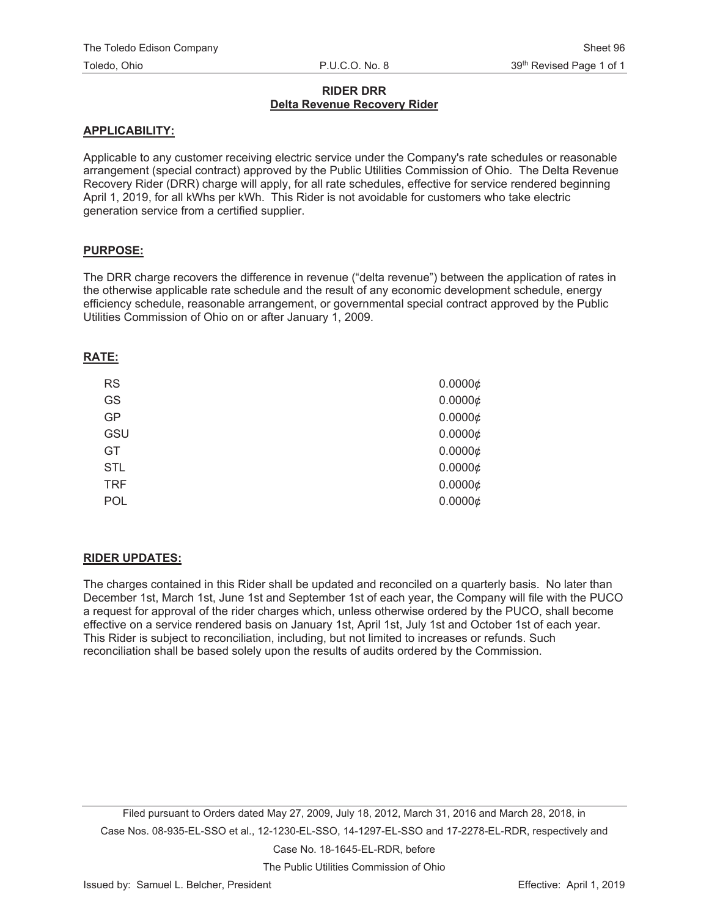# **RIDER DRR Delta Revenue Recovery Rider**

## **APPLICABILITY:**

Applicable to any customer receiving electric service under the Company's rate schedules or reasonable arrangement (special contract) approved by the Public Utilities Commission of Ohio. The Delta Revenue Recovery Rider (DRR) charge will apply, for all rate schedules, effective for service rendered beginning April 1, 2019, for all kWhs per kWh. This Rider is not avoidable for customers who take electric generation service from a certified supplier.

# **PURPOSE:**

The DRR charge recovers the difference in revenue ("delta revenue") between the application of rates in the otherwise applicable rate schedule and the result of any economic development schedule, energy efficiency schedule, reasonable arrangement, or governmental special contract approved by the Public Utilities Commission of Ohio on or after January 1, 2009.

### **RATE:**

| <b>RS</b>  | 0.0000¢ |
|------------|---------|
| GS         | 0.0000¢ |
| GP         | 0.0000¢ |
| GSU        | 0.0000¢ |
| <b>GT</b>  | 0.0000¢ |
| <b>STL</b> | 0.0000¢ |
| <b>TRF</b> | 0.0000¢ |
| POL        | 0.0000¢ |
|            |         |

# **RIDER UPDATES:**

The charges contained in this Rider shall be updated and reconciled on a quarterly basis. No later than December 1st, March 1st, June 1st and September 1st of each year, the Company will file with the PUCO a request for approval of the rider charges which, unless otherwise ordered by the PUCO, shall become effective on a service rendered basis on January 1st, April 1st, July 1st and October 1st of each year. This Rider is subject to reconciliation, including, but not limited to increases or refunds. Such reconciliation shall be based solely upon the results of audits ordered by the Commission.

Filed pursuant to Orders dated May 27, 2009, July 18, 2012, March 31, 2016 and March 28, 2018, in Case Nos. 08-935-EL-SSO et al., 12-1230-EL-SSO, 14-1297-EL-SSO and 17-2278-EL-RDR, respectively and

Case No. 18-1645-EL-RDR, before

The Public Utilities Commission of Ohio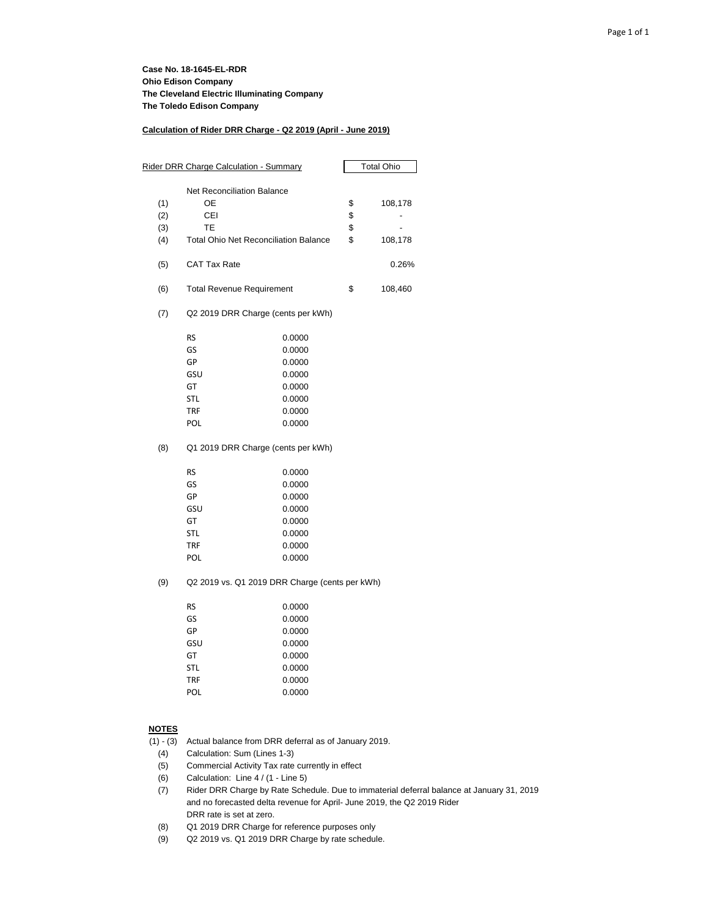#### **Calculation of Rider DRR Charge - Q2 2019 (April - June 2019)**

| Rider DRR Charge Calculation - Summary |                                                |        | Total Ohio |         |
|----------------------------------------|------------------------------------------------|--------|------------|---------|
|                                        |                                                |        |            |         |
|                                        | <b>Net Reconciliation Balance</b>              |        |            |         |
| (1)                                    | OE                                             |        | \$         | 108,178 |
| (2)                                    | CEI                                            |        | \$         |         |
| (3)                                    | ТE                                             |        | \$         |         |
| (4)                                    | <b>Total Ohio Net Reconciliation Balance</b>   |        | \$         | 108,178 |
| (5)                                    | CAT Tax Rate                                   |        |            | 0.26%   |
| (6)                                    | <b>Total Revenue Requirement</b>               |        | \$         | 108,460 |
| (7)                                    | Q2 2019 DRR Charge (cents per kWh)             |        |            |         |
|                                        | RS                                             | 0.0000 |            |         |
|                                        | GS                                             | 0.0000 |            |         |
|                                        | GP                                             | 0.0000 |            |         |
|                                        | GSU                                            | 0.0000 |            |         |
|                                        | GT                                             | 0.0000 |            |         |
|                                        | <b>STL</b>                                     | 0.0000 |            |         |
|                                        | <b>TRF</b>                                     | 0.0000 |            |         |
|                                        | POL                                            | 0.0000 |            |         |
| (8)                                    | Q1 2019 DRR Charge (cents per kWh)             |        |            |         |
|                                        | <b>RS</b>                                      | 0.0000 |            |         |
|                                        | GS                                             | 0.0000 |            |         |
|                                        | GP                                             | 0.0000 |            |         |
|                                        | GSU                                            | 0.0000 |            |         |
|                                        | GT                                             | 0.0000 |            |         |
|                                        | <b>STL</b>                                     | 0.0000 |            |         |
|                                        | <b>TRF</b>                                     | 0.0000 |            |         |
|                                        | POL                                            | 0.0000 |            |         |
| (9)                                    | Q2 2019 vs. Q1 2019 DRR Charge (cents per kWh) |        |            |         |
|                                        | RS                                             | 0.0000 |            |         |
|                                        | GS                                             | 0.0000 |            |         |
|                                        | GP                                             | 0.0000 |            |         |
|                                        | GSU                                            | 0.0000 |            |         |
|                                        | GT                                             | 0.0000 |            |         |
|                                        | <b>STL</b>                                     | 0.0000 |            |         |
|                                        | <b>TRF</b>                                     | 0.0000 |            |         |

#### **NOTES**

(1) - (3) Actual balance from DRR deferral as of January 2019.

(4) Calculation: Sum (Lines 1-3)

(5) Commercial Activity Tax rate currently in effect

POL 0.0000

- (6) Calculation: Line 4 / (1 Line 5)
- (7) Rider DRR Charge by Rate Schedule. Due to immaterial deferral balance at January 31, 2019 and no forecasted delta revenue for April- June 2019, the Q2 2019 Rider DRR rate is set at zero.
- (8) Q1 2019 DRR Charge for reference purposes only
- (9) Q2 2019 vs. Q1 2019 DRR Charge by rate schedule.